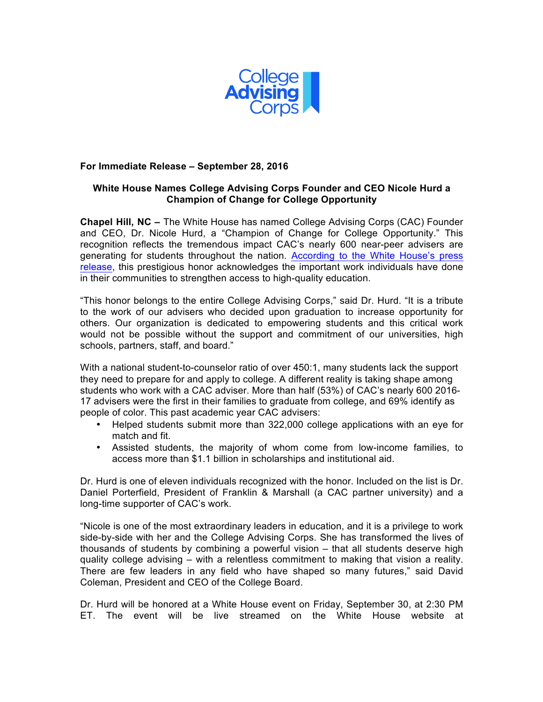

## **For Immediate Release – September 28, 2016**

## **White House Names College Advising Corps Founder and CEO Nicole Hurd a Champion of Change for College Opportunity**

**Chapel Hill, NC –** The White House has named College Advising Corps (CAC) Founder and CEO, Dr. Nicole Hurd, a "Champion of Change for College Opportunity." This recognition reflects the tremendous impact CAC's nearly 600 near-peer advisers are generating for students throughout the nation. According to the White House's press release, this prestigious honor acknowledges the important work individuals have done in their communities to strengthen access to high-quality education.

"This honor belongs to the entire College Advising Corps," said Dr. Hurd. "It is a tribute to the work of our advisers who decided upon graduation to increase opportunity for others. Our organization is dedicated to empowering students and this critical work would not be possible without the support and commitment of our universities, high schools, partners, staff, and board."

With a national student-to-counselor ratio of over 450:1, many students lack the support they need to prepare for and apply to college. A different reality is taking shape among students who work with a CAC adviser. More than half (53%) of CAC's nearly 600 2016- 17 advisers were the first in their families to graduate from college, and 69% identify as people of color. This past academic year CAC advisers:

- Helped students submit more than 322,000 college applications with an eye for match and fit.
- Assisted students, the majority of whom come from low-income families, to access more than \$1.1 billion in scholarships and institutional aid.

Dr. Hurd is one of eleven individuals recognized with the honor. Included on the list is Dr. Daniel Porterfield, President of Franklin & Marshall (a CAC partner university) and a long-time supporter of CAC's work.

"Nicole is one of the most extraordinary leaders in education, and it is a privilege to work side-by-side with her and the College Advising Corps. She has transformed the lives of thousands of students by combining a powerful vision – that all students deserve high quality college advising – with a relentless commitment to making that vision a reality. There are few leaders in any field who have shaped so many futures," said David Coleman, President and CEO of the College Board.

Dr. Hurd will be honored at a White House event on Friday, September 30, at 2:30 PM ET. The event will be live streamed on the White House website at